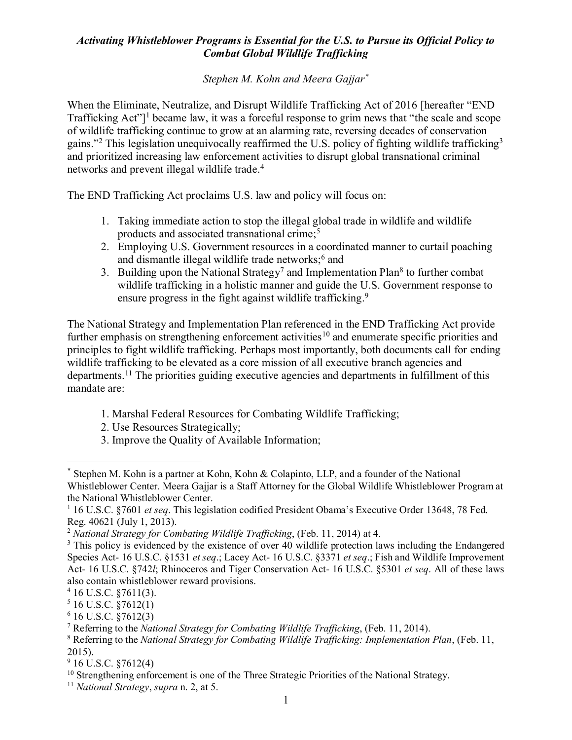## *Activating Whistleblower Programs is Essential for the U.S. to Pursue its Official Policy to Combat Global Wildlife Trafficking*

## *Stephen M. Kohn and Meera Gajjar\**

When the Eliminate, Neutralize, and Disrupt Wildlife Trafficking Act of 2016 [hereafter "END Trafficking Act"<sup>1</sup> became law, it was a forceful response to grim news that "the scale and scope" of wildlife trafficking continue to grow at an alarming rate, reversing decades of conservation gains."<sup>2</sup> This legislation unequivocally reaffirmed the U.S. policy of fighting wildlife trafficking3 and prioritized increasing law enforcement activities to disrupt global transnational criminal networks and prevent illegal wildlife trade. 4

The END Trafficking Act proclaims U.S. law and policy will focus on:

- 1. Taking immediate action to stop the illegal global trade in wildlife and wildlife products and associated transnational crime; 5
- 2. Employing U.S. Government resources in a coordinated manner to curtail poaching and dismantle illegal wildlife trade networks; <sup>6</sup> and
- 3. Building upon the National Strategy<sup>7</sup> and Implementation Plan<sup>8</sup> to further combat wildlife trafficking in a holistic manner and guide the U.S. Government response to ensure progress in the fight against wildlife trafficking.<sup>9</sup>

The National Strategy and Implementation Plan referenced in the END Trafficking Act provide further emphasis on strengthening enforcement activities<sup>10</sup> and enumerate specific priorities and principles to fight wildlife trafficking. Perhaps most importantly, both documents call for ending wildlife trafficking to be elevated as a core mission of all executive branch agencies and departments.11 The priorities guiding executive agencies and departments in fulfillment of this mandate are:

- 1. Marshal Federal Resources for Combating Wildlife Trafficking;
- 2. Use Resources Strategically;
- 3. Improve the Quality of Available Information;

 <sup>\*</sup> Stephen M. Kohn is a partner at Kohn, Kohn & Colapinto, LLP, and a founder of the National Whistleblower Center. Meera Gajjar is a Staff Attorney for the Global Wildlife Whistleblower Program at the National Whistleblower Center.

<sup>1</sup> 16 U.S.C. §7601 *et seq*. This legislation codified President Obama's Executive Order 13648, 78 Fed. Reg. 40621 (July 1, 2013).

<sup>2</sup> *National Strategy for Combating Wildlife Trafficking*, (Feb. 11, 2014) at 4.

<sup>&</sup>lt;sup>3</sup> This policy is evidenced by the existence of over 40 wildlife protection laws including the Endangered Species Act- 16 U.S.C. §1531 *et seq*.; Lacey Act- 16 U.S.C. §3371 *et seq*.; Fish and Wildlife Improvement Act- 16 U.S.C. §742*l*; Rhinoceros and Tiger Conservation Act- 16 U.S.C. §5301 *et seq*. All of these laws also contain whistleblower reward provisions.

 $4$  16 U.S.C.  $\S$ 7611(3).

 $5$  16 U.S.C.  $\S$ 7612(1)

 $6$  16 U.S.C.  $$7612(3)$ 

<sup>7</sup> Referring to the *National Strategy for Combating Wildlife Trafficking*, (Feb. 11, 2014).

<sup>8</sup> Referring to the *National Strategy for Combating Wildlife Trafficking: Implementation Plan*, (Feb. 11, 2015).

<sup>9</sup> 16 U.S.C. §7612(4)

<sup>&</sup>lt;sup>10</sup> Strengthening enforcement is one of the Three Strategic Priorities of the National Strategy.

<sup>11</sup> *National Strategy*, *supra* n. 2, at 5.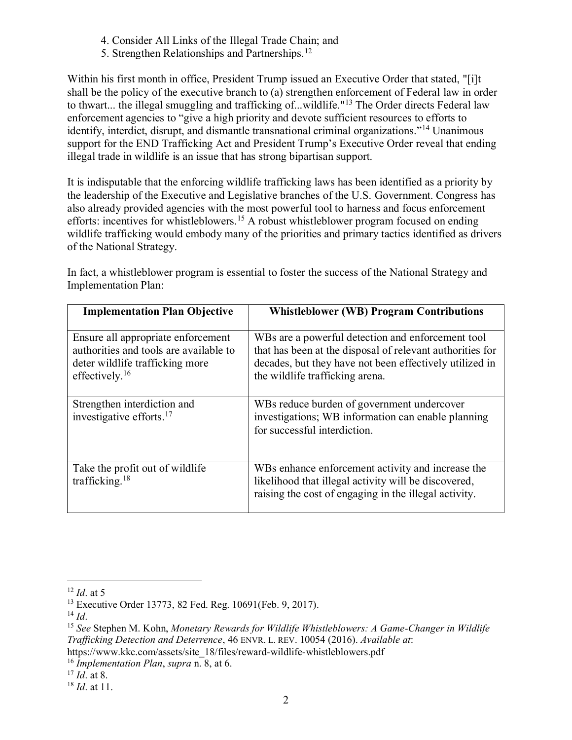- 4. Consider All Links of the Illegal Trade Chain; and
- 5. Strengthen Relationships and Partnerships.12

Within his first month in office, President Trump issued an Executive Order that stated, "[i]t shall be the policy of the executive branch to (a) strengthen enforcement of Federal law in order to thwart... the illegal smuggling and trafficking of...wildlife."13 The Order directs Federal law enforcement agencies to "give a high priority and devote sufficient resources to efforts to identify, interdict, disrupt, and dismantle transnational criminal organizations."<sup>14</sup> Unanimous support for the END Trafficking Act and President Trump's Executive Order reveal that ending illegal trade in wildlife is an issue that has strong bipartisan support.

It is indisputable that the enforcing wildlife trafficking laws has been identified as a priority by the leadership of the Executive and Legislative branches of the U.S. Government. Congress has also already provided agencies with the most powerful tool to harness and focus enforcement efforts: incentives for whistleblowers.<sup>15</sup> A robust whistleblower program focused on ending wildlife trafficking would embody many of the priorities and primary tactics identified as drivers of the National Strategy.

In fact, a whistleblower program is essential to foster the success of the National Strategy and Implementation Plan:

| <b>Implementation Plan Objective</b>                                                                                                 | <b>Whistleblower (WB) Program Contributions</b>                                                                                                                                                              |
|--------------------------------------------------------------------------------------------------------------------------------------|--------------------------------------------------------------------------------------------------------------------------------------------------------------------------------------------------------------|
| Ensure all appropriate enforcement<br>authorities and tools are available to<br>deter wildlife trafficking more<br>effectively. $16$ | WBs are a powerful detection and enforcement tool<br>that has been at the disposal of relevant authorities for<br>decades, but they have not been effectively utilized in<br>the wildlife trafficking arena. |
| Strengthen interdiction and<br>investigative efforts. <sup>17</sup>                                                                  | WBs reduce burden of government undercover<br>investigations; WB information can enable planning<br>for successful interdiction.                                                                             |
| Take the profit out of wildlife<br>trafficking. <sup>18</sup>                                                                        | WBs enhance enforcement activity and increase the<br>likelihood that illegal activity will be discovered,<br>raising the cost of engaging in the illegal activity.                                           |

 $\overline{a}$ 

<sup>12</sup> *Id*. at 5

<sup>13</sup> Executive Order 13773, 82 Fed. Reg. 10691(Feb. 9, 2017).

 $^{14}$  *Id*.

<sup>15</sup> *See* Stephen M. Kohn, *Monetary Rewards for Wildlife Whistleblowers: A Game-Changer in Wildlife Trafficking Detection and Deterrence*, 46 ENVR. L. REV. 10054 (2016). *Available at*:

https://www.kkc.com/assets/site\_18/files/reward-wildlife-whistleblowers.pdf

<sup>16</sup> *Implementation Plan*, *supra* n. 8, at 6.

<sup>17</sup> *Id*. at 8.

<sup>18</sup> *Id*. at 11.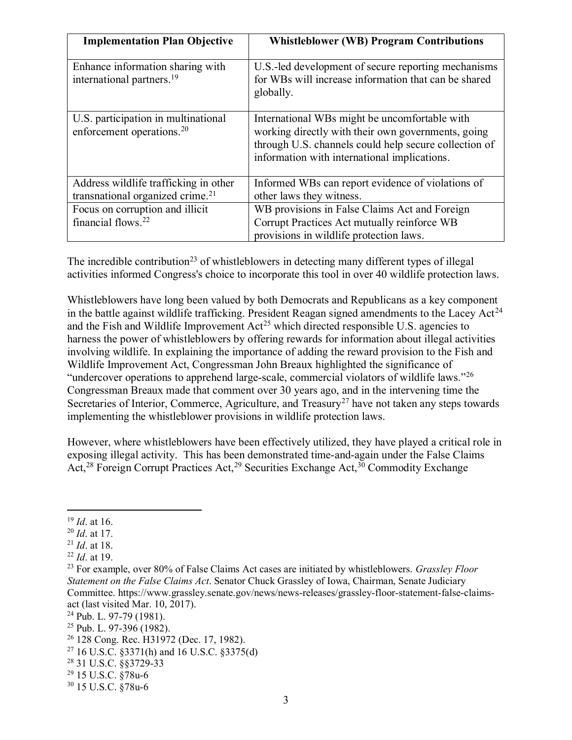| <b>Implementation Plan Objective</b>                                                  | <b>Whistleblower (WB) Program Contributions</b>                                                                                                                                                              |
|---------------------------------------------------------------------------------------|--------------------------------------------------------------------------------------------------------------------------------------------------------------------------------------------------------------|
| Enhance information sharing with<br>international partners. <sup>19</sup>             | U.S.-led development of secure reporting mechanisms<br>for WBs will increase information that can be shared<br>globally.                                                                                     |
| U.S. participation in multinational<br>enforcement operations. <sup>20</sup>          | International WBs might be uncomfortable with<br>working directly with their own governments, going<br>through U.S. channels could help secure collection of<br>information with international implications. |
| Address wildlife trafficking in other<br>transnational organized crime. <sup>21</sup> | Informed WBs can report evidence of violations of<br>other laws they witness.                                                                                                                                |
| Focus on corruption and illicit<br>financial flows. <sup>22</sup>                     | WB provisions in False Claims Act and Foreign<br>Corrupt Practices Act mutually reinforce WB<br>provisions in wildlife protection laws.                                                                      |

The incredible contribution<sup>23</sup> of whistleblowers in detecting many different types of illegal activities informed Congress's choice to incorporate this tool in over 40 wildlife protection laws.

Whistleblowers have long been valued by both Democrats and Republicans as a key component in the battle against wildlife trafficking. President Reagan signed amendments to the Lacey Act<sup>24</sup> and the Fish and Wildlife Improvement  $Act^{25}$  which directed responsible U.S. agencies to harness the power of whistleblowers by offering rewards for information about illegal activities involving wildlife. In explaining the importance of adding the reward provision to the Fish and Wildlife Improvement Act, Congressman John Breaux highlighted the significance of "undercover operations to apprehend large-scale, commercial violators of wildlife laws."<sup>26</sup> Congressman Breaux made that comment over 30 years ago, and in the intervening time the Secretaries of Interior, Commerce, Agriculture, and Treasury<sup>27</sup> have not taken any steps towards implementing the whistleblower provisions in wildlife protection laws.

However, where whistleblowers have been effectively utilized, they have played a critical role in exposing illegal activity. This has been demonstrated time-and-again under the False Claims Act,<sup>28</sup> Foreign Corrupt Practices Act,<sup>29</sup> Securities Exchange Act,<sup>30</sup> Commodity Exchange

 $\overline{a}$ 

<sup>19</sup> *Id*. at 16.

<sup>20</sup> *Id*. at 17.

<sup>21</sup> *Id*. at 18.

<sup>22</sup> *Id*. at 19.

<sup>23</sup> For example, over 80% of False Claims Act cases are initiated by whistleblowers. *Grassley Floor Statement on the False Claims Act*. Senator Chuck Grassley of Iowa, Chairman, Senate Judiciary Committee. https://www.grassley.senate.gov/news/news-releases/grassley-floor-statement-false-claimsact (last visited Mar. 10, 2017).

 $24$  Pub. L. 97-79 (1981).

 $25$  Pub. L. 97-396 (1982).

<sup>26</sup> 128 Cong. Rec. H31972 (Dec. 17, 1982).

<sup>27</sup> 16 U.S.C. §3371(h) and 16 U.S.C. §3375(d)

<sup>28</sup> 31 U.S.C. §§3729-33

<sup>29</sup> 15 U.S.C. §78u-6

<sup>30</sup> 15 U.S.C. §78u-6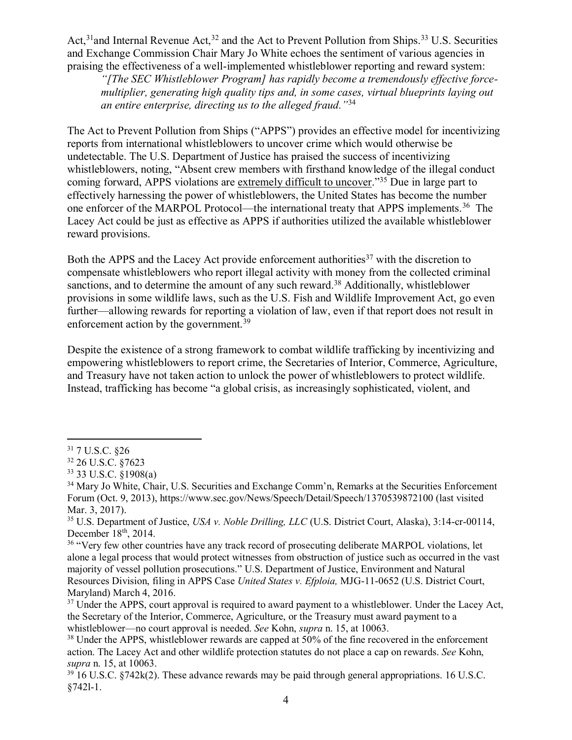Act,<sup>31</sup> and Internal Revenue Act,<sup>32</sup> and the Act to Prevent Pollution from Ships.<sup>33</sup> U.S. Securities and Exchange Commission Chair Mary Jo White echoes the sentiment of various agencies in praising the effectiveness of a well-implemented whistleblower reporting and reward system:

*"[The SEC Whistleblower Program] has rapidly become a tremendously effective forcemultiplier, generating high quality tips and, in some cases, virtual blueprints laying out an entire enterprise, directing us to the alleged fraud."*<sup>34</sup>

The Act to Prevent Pollution from Ships ("APPS") provides an effective model for incentivizing reports from international whistleblowers to uncover crime which would otherwise be undetectable. The U.S. Department of Justice has praised the success of incentivizing whistleblowers, noting, "Absent crew members with firsthand knowledge of the illegal conduct coming forward, APPS violations are extremely difficult to uncover."<sup>35</sup> Due in large part to effectively harnessing the power of whistleblowers, the United States has become the number one enforcer of the MARPOL Protocol—the international treaty that APPS implements.36 The Lacey Act could be just as effective as APPS if authorities utilized the available whistleblower reward provisions.

Both the APPS and the Lacey Act provide enforcement authorities<sup>37</sup> with the discretion to compensate whistleblowers who report illegal activity with money from the collected criminal sanctions, and to determine the amount of any such reward.<sup>38</sup> Additionally, whistleblower provisions in some wildlife laws, such as the U.S. Fish and Wildlife Improvement Act, go even further—allowing rewards for reporting a violation of law, even if that report does not result in enforcement action by the government.<sup>39</sup>

Despite the existence of a strong framework to combat wildlife trafficking by incentivizing and empowering whistleblowers to report crime, the Secretaries of Interior, Commerce, Agriculture, and Treasury have not taken action to unlock the power of whistleblowers to protect wildlife. Instead, trafficking has become "a global crisis, as increasingly sophisticated, violent, and

 $\overline{a}$ <sup>31</sup> 7 U.S.C. §26

<sup>32</sup> 26 U.S.C. §7623

<sup>33</sup> 33 U.S.C. §1908(a)

<sup>&</sup>lt;sup>34</sup> Mary Jo White, Chair, U.S. Securities and Exchange Comm'n, Remarks at the Securities Enforcement Forum (Oct. 9, 2013), https://www.sec.gov/News/Speech/Detail/Speech/1370539872100 (last visited Mar. 3, 2017).

<sup>35</sup> U.S. Department of Justice, *USA v. Noble Drilling, LLC* (U.S. District Court, Alaska), 3:14-cr-00114, December 18<sup>th</sup>, 2014.

<sup>&</sup>lt;sup>36</sup> "Very few other countries have any track record of prosecuting deliberate MARPOL violations, let alone a legal process that would protect witnesses from obstruction of justice such as occurred in the vast majority of vessel pollution prosecutions." U.S. Department of Justice, Environment and Natural Resources Division, filing in APPS Case *United States v. Efploia,* MJG-11-0652 (U.S. District Court, Maryland) March 4, 2016.

<sup>&</sup>lt;sup>37</sup> Under the APPS, court approval is required to award payment to a whistleblower. Under the Lacey Act, the Secretary of the Interior, Commerce, Agriculture, or the Treasury must award payment to a whistleblower—no court approval is needed. *See* Kohn, *supra* n. 15, at 10063.

<sup>&</sup>lt;sup>38</sup> Under the APPS, whistleblower rewards are capped at 50% of the fine recovered in the enforcement action. The Lacey Act and other wildlife protection statutes do not place a cap on rewards. *See* Kohn, *supra* n. 15, at 10063.

 $39\overline{16}$  U.S.C. §742k(2). These advance rewards may be paid through general appropriations. 16 U.S.C. §742l-1.